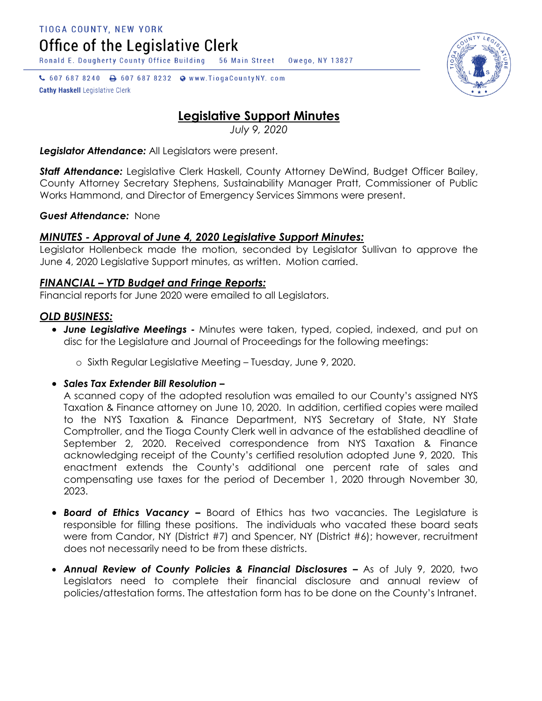Office of the Legislative Clerk

Ronald E. Dougherty County Office Building 56 Main Street Owego, NY 13827

↓ 607 687 8240 → 607 687 8232 → www.TiogaCountyNY.com **Cathy Haskell Legislative Clerk** 

# **Legislative Support Minutes**

*July 9, 2020*

*Legislator Attendance:* All Legislators were present.

*Staff Attendance:* Legislative Clerk Haskell, County Attorney DeWind, Budget Officer Bailey, County Attorney Secretary Stephens, Sustainability Manager Pratt, Commissioner of Public Works Hammond, and Director of Emergency Services Simmons were present.

#### *Guest Attendance:* None

## *MINUTES - Approval of June 4, 2020 Legislative Support Minutes:*

Legislator Hollenbeck made the motion, seconded by Legislator Sullivan to approve the June 4, 2020 Legislative Support minutes, as written. Motion carried.

### *FINANCIAL – YTD Budget and Fringe Reports:*

Financial reports for June 2020 were emailed to all Legislators.

### *OLD BUSINESS:*

- *June Legislative Meetings -* Minutes were taken, typed, copied, indexed, and put on disc for the Legislature and Journal of Proceedings for the following meetings:
	- o Sixth Regular Legislative Meeting Tuesday, June 9, 2020.

### *Sales Tax Extender Bill Resolution –*

A scanned copy of the adopted resolution was emailed to our County's assigned NYS Taxation & Finance attorney on June 10, 2020. In addition, certified copies were mailed to the NYS Taxation & Finance Department, NYS Secretary of State, NY State Comptroller, and the Tioga County Clerk well in advance of the established deadline of September 2, 2020. Received correspondence from NYS Taxation & Finance acknowledging receipt of the County's certified resolution adopted June 9, 2020. This enactment extends the County's additional one percent rate of sales and compensating use taxes for the period of December 1, 2020 through November 30, 2023.

- *Board of Ethics Vacancy –* Board of Ethics has two vacancies. The Legislature is responsible for filling these positions. The individuals who vacated these board seats were from Candor, NY (District #7) and Spencer, NY (District #6); however, recruitment does not necessarily need to be from these districts.
- **Annual Review of County Policies & Financial Disclosures As of July 9, 2020, two** Legislators need to complete their financial disclosure and annual review of policies/attestation forms. The attestation form has to be done on the County's Intranet.

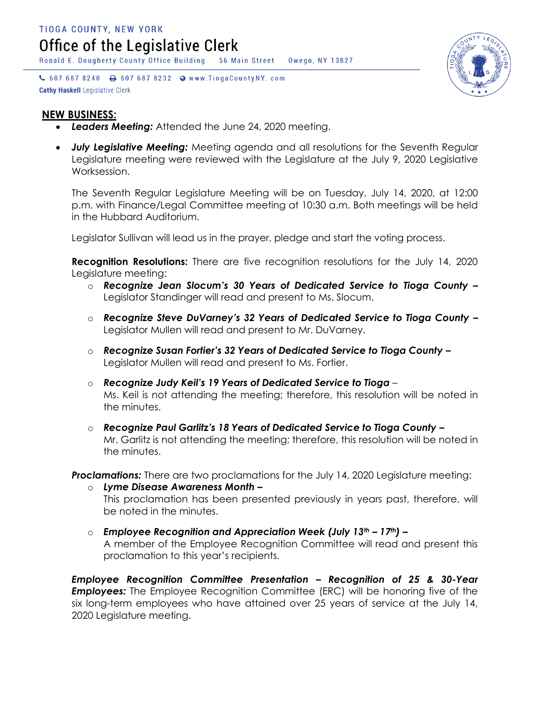Ronald E. Dougherty County Office Building 56 Main Street Owego, NY 13827

↓ 607 687 8240 → 607 687 8232 → www.TiogaCountyNY.com **Cathy Haskell Legislative Clerk** 



#### **NEW BUSINESS:**

- *Leaders Meeting:* Attended the June 24, 2020 meeting.
- *July Legislative Meeting:* Meeting agenda and all resolutions for the Seventh Regular Legislature meeting were reviewed with the Legislature at the July 9, 2020 Legislative Worksession.

The Seventh Regular Legislature Meeting will be on Tuesday, July 14, 2020, at 12:00 p.m. with Finance/Legal Committee meeting at 10:30 a.m. Both meetings will be held in the Hubbard Auditorium.

Legislator Sullivan will lead us in the prayer, pledge and start the voting process.

**Recognition Resolutions:** There are five recognition resolutions for the July 14, 2020 Legislature meeting:

- o *Recognize Jean Slocum's 30 Years of Dedicated Service to Tioga County –* Legislator Standinger will read and present to Ms. Slocum.
- o *Recognize Steve DuVarney's 32 Years of Dedicated Service to Tioga County –* Legislator Mullen will read and present to Mr. DuVarney.
- o *Recognize Susan Fortier's 32 Years of Dedicated Service to Tioga County –* Legislator Mullen will read and present to Ms. Fortier.
- o *Recognize Judy Keil's 19 Years of Dedicated Service to Tioga*  Ms. Keil is not attending the meeting; therefore, this resolution will be noted in the minutes.
- o *Recognize Paul Garlitz's 18 Years of Dedicated Service to Tioga County –* Mr. Garlitz is not attending the meeting; therefore, this resolution will be noted in the minutes.

**Proclamations:** There are two proclamations for the July 14, 2020 Legislature meeting:

- o *Lyme Disease Awareness Month –* This proclamation has been presented previously in years past, therefore, will be noted in the minutes.
- o *Employee Recognition and Appreciation Week (July 13th – 17th) –* A member of the Employee Recognition Committee will read and present this proclamation to this year's recipients.

*Employee Recognition Committee Presentation – Recognition of 25 & 30-Year*  **Employees:** The Employee Recognition Committee (ERC) will be honoring five of the six long-term employees who have attained over 25 years of service at the July 14, 2020 Legislature meeting.